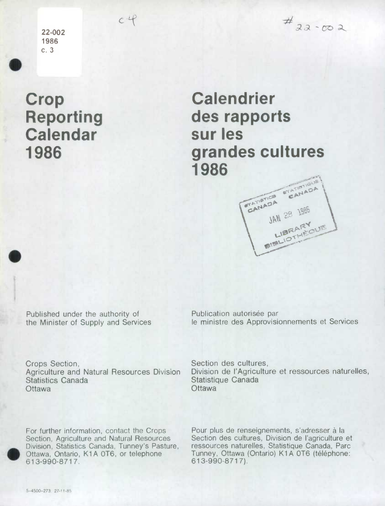**22-002 1986**  c. 3

 $c$ <sup> $\cdot$ </sup> $\cdot$  $\cdot$ <sup> $\cdot$ </sup>

 $\frac{4}{32}$ -co2

## **Crop Reporting Calendar 1986**

.

## **Calendrier des rapports sur les grandes cultures 1986**

# **TATIOTICS** G'ANAD **ADA**  $56 \frac{1800}{1800}$ SN14

Published under the authority of **Publication autorisée par** 

the Minister of Supply and Services le ministre des Approvisionnements et Services

Crops Section, Section des cultures, Statistics Canada Statistique Canada Ottawa Ottawa Chamber Chamber Chamber Chamber Chamber Chamber Chamber Chamber Chamber Chamber Chamber Chamber Chamber Chamber Chamber Chamber Chamber Chamber Chamber Chamber Chamber Chamber Chamber Chamber Chamber Chamber

Agriculture and Natural Resources Division Division de l'Agriculture et ressources naturelles,

Division, Statistics Canada, Tunney's Pasture, Ottawa, Ontario, K1A 0T6, or telephone 613-990-8717.

For further information, contact the Crops Pour plus de renseignements, s'adresser **a** Ia Section, Agriculture and Natural Resources Section des cultures, Division de l'agriculture et<br>Division, Statistics Canada, Tunney's Pasture, ressources naturelles, Statistique Canada, Parc Tunney, Ottawa (Ontario) K1A 0T6 (téléphone:<br>613-990-8717).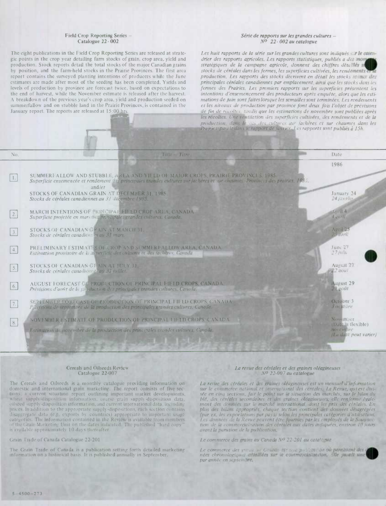#### Field Crop Reporting Series -Catalogue 22- 002

The eight publications in the Field Crop Reporting Series are released at strategic points in the crop year detailing farm stocks of grain, crop area, yield and production. Stock reports detail the total stocks of the major Canadian grains by position, and the farm-held stocks in the Prairie Provinces. The first area report contains the surveyed planting intentions of producers while the June estimates are made after most of the seeding has been completed. Yields and levels of production by province are forecast twice, based on expectations to the end of harvest, while the November estimate is released after the harvest. A breakdown of the previous year's crop area, yield and production seeded on summerfailow and on stubble land in the Prairie Provinces, is contained in the January report. The reports are released at 15:00 hrs

-

**VWMW** 

#### *Série de rapports sur les grander cultures* - *NO 22. 002 au catalogue*

Les huit rapports de la série sur les grandes cultures sont indiqués sur le caiendrier des rapports agricoles. Les rapports statistiques, publiés a des mom stratégiques de la campagne agricole, donnent des chiffres détailles n *stocks de céréales dans les fermes, les superficies cultivées, les rendements production. Les rapports des stocks décrivent en détail les stocks i.e.* principales céréales canadiennes par emplacement, ainsi que les stocks dans les fermes des Prairies. Les premiers rapports sur les superficies présentent les *intentions d'ensemencement des producteurs après enquête, alors que les estimations de juin sont faites lorsque les semailles sont terminées. Les rendements* et les niveaux de production par province font deux fois l'objet de prévisions *de fin de rct olic.v. t.ndi.s que les estimations de nopembre sont pubiiées après*  les récoltes. Une ventilation des superficies cultivées, des rendements et de la *production, dans le cus des cultures sur jachères et sur chaumes dans les Prairies, parait dans le rapport de janvier. Les rapports sont publiés à 15h.* 

| No.              | Title Titre                                                                                                                                                                                                                  | Date                              |  |  |
|------------------|------------------------------------------------------------------------------------------------------------------------------------------------------------------------------------------------------------------------------|-----------------------------------|--|--|
|                  |                                                                                                                                                                                                                              | 1986                              |  |  |
| 1.               | SUMMERFALLOW AND STUBBLE, AREA AND YIELD OF MAJOR CROPS, PRAIRIE PROVINCES, 1985.<br>Superficie ensemencée et rendement des principales grandes cultures sur jachères et sur chaumes. Provinces des prairies, 1985<br>and/et |                                   |  |  |
|                  | STOCKS OF CANADIAN GRAIN AT DECEMBER 31, 1985.<br>Stocks de céréales canadiennes au 31 décembre 1985.                                                                                                                        | January 24<br>24 jam ter          |  |  |
| $\boxed{2}$ .    | MARCH INTENTIONS OF PRINCIPAL FIELD CROP AREA, CANADA.<br>Superficie projetée en mars des principales grandes cultures, Canada.                                                                                              | April 4<br>4 avril                |  |  |
| 3.               | STOCKS OF CANADIAN GRAIN AT MARCH 31.<br>Stocks de céréales canadiennes au 31 mars.                                                                                                                                          | April 25<br>$25$ are $l$          |  |  |
| $\boxed{4}$ .    | PRELIMINARY ESTIMATES OF CROP AND SUMMERFALLOW AREA, CANADA.<br>Estimation provisoire de la superficie des cultures et des jachères, Canada.                                                                                 | June 27<br>$27$ <i>jun</i>        |  |  |
| $\boxed{5}$ .    | STOCKS OF CANADIAN GRAIN AT JULY 31.<br>Stocks de céréales canadiennes au 31 juillet.                                                                                                                                        | August 21<br>m22 aout             |  |  |
| $\vert 6. \vert$ | AUGUST FORECAST OF PRODUCTION OF PRINCIPAL FIELD CROPS, CANADA.<br>Prévisions d'août de la production des principales grandes cultures, Canada.                                                                              | <b>August 29</b><br>$20$ goit     |  |  |
| $\boxed{7}$ .    | SEPTEMBER FORECAST OF PRODUCTION OF PRINCIPAL FIELD CROPS, CANADA.<br>Previsions de septembre de la production des principales grandes cultures, Canada.                                                                     | October 3<br>3 octobre            |  |  |
| 8.               | NOVEMBER ESTIMATE OF PRODUCTION OF PRINCIPAL UJELD CROPS, CANADA.                                                                                                                                                            | November<br>(Date tlexible)       |  |  |
|                  | Estimation de novembre de la production des principales grandes cultures, Canada.                                                                                                                                            | novembre<br>(La date peut varier) |  |  |
|                  |                                                                                                                                                                                                                              |                                   |  |  |

#### Cereals and Oilseeds Review Catalogue 22-007

The Cereals and Oilseeds is a monthly catalogue providing information on domestic and international grain marketing. The report consists of five sections: a current situation report outlining important market developments, wheat supply-disposition information, coarse grain supply-disposition data, si I seed supp lv -disposition information, *a* rid eurre *Fit* international dii ta . iichiid ing prices. In addition to the appropriate supply-dispositions, each section contains disaggregate data (e.g. exports by countries) appropriate to important usage categories. The information contained in the Review is available from members of the Grain Marketing Unit on the dates indicated. The published "hard copy" is available approximately 10 days thereafter.

#### Grain 'l'rade of Canada Catalogue 22.201

The Grain Trade of Canada is a publication setting forth detailed marketing information on a historical basis. It is published annually in September.

#### **La revue des céréales et des graines oléagineuses** *NO 22-007au catalogue*

La revue des céréales et des graines oléagineuses est un mensuel d'information sur le commerce national et international des céréales. La Revue, qui est divi*see en einq sections, fair Ic point sur Ia situation des marches, sur Ic bilari du*  bié, des céréales secondaires et des graines oléagineuses; elle renferme égale-<br>ment des données sur le marché international, dont les prix des céréales. En plus des bilans appropriés, chaque section contient des données désagrégées *'par cx. les exportations par pays) scion les principales categories d htilisation. i.cs données de la Revue peuvent être fournies par les employés de la Sous-sec*tion de la commercialisation des céréales aux dates indiquées, environ 10 jours *avant la pam lion de la publication.* 

*<i>I.e commerce des grains au Canada Nº 22-201 au catale que* 

*Le commerce de&* ":'' i,' *(e". ,:: . '*i ' ' *pp'!,'' née.c clzrorzolog',qw'.* . *:.* . par année en septembre.

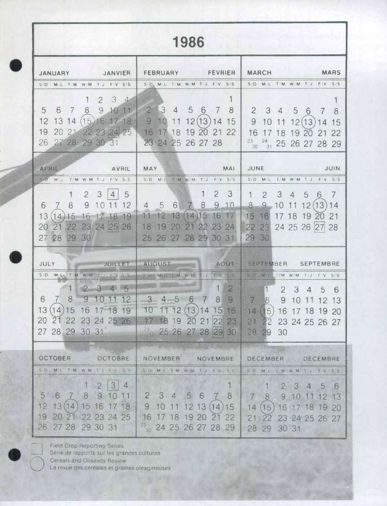# 1986

| <b>SANTA SANTA SANTA SANTA SANTA SERVICIAL</b><br><b>JANUARY</b> | <b>FEVRIER</b><br><b>FEBRUARY</b>                                                         | <b>MARCH</b><br><b>MARS</b>                                          |
|------------------------------------------------------------------|-------------------------------------------------------------------------------------------|----------------------------------------------------------------------|
| S/D M/L T/M W/M T/J F/V S/S                                      | SID MIL TIM W/M TIJ F/V S/S                                                               | S/D M/L T/M W/M T/J F/V S/S                                          |
| $\mathcal{S}$<br>$\overline{2}$<br>$\sim$                        |                                                                                           | 1                                                                    |
| $\overline{5}$<br>6<br>8<br>9<br>$\overline{7}$<br>11<br>10      | $\overline{2}$<br>$\vert 3 \vert$<br>$\overline{5}$<br>8<br>$\sqrt{4}$<br>6<br>$\sqrt{ }$ | $\mathbf{2}$<br>$3\quad4$<br>5 <sup>5</sup><br>8<br>6                |
| 12<br>13 14<br>$(15)16$ 17 18                                    | 9<br>10<br>12(13)<br>15<br>11<br>14                                                       | 12(13)<br>9<br>11<br>10<br>15                                        |
| 2021<br>22 23 24 25<br>19                                        | 19<br>16<br>18<br>20<br>22<br>21                                                          | 16<br>8<br>22                                                        |
| 27 28 29 30 31<br>26                                             | 23 24 25 26 27 28                                                                         | $23 -$<br>$^{24}_{31}$ 25 26 27 28 29<br>30                          |
|                                                                  |                                                                                           |                                                                      |
| <b>APRIL</b><br><b>AVRIL</b>                                     | <b>MAY</b><br><b>MAI</b>                                                                  | JUNE<br><b>JUIN</b>                                                  |
| S D MIL<br>TMWMT/J FV S/S                                        | SD ML TIM WM T/J F/V SS                                                                   | S/D M/L<br>T M W/M T/J<br>$F/V$ S/S                                  |
| $\overline{2}$<br>3<br>$\overline{4}$<br>5<br>1                  | $\overline{2}$<br>3                                                                       | 3<br>7<br>$\overline{2}$<br>5<br>$\mathbf{1}$<br>$\overline{4}$<br>6 |
| 8<br>9<br>12<br>7<br>6                                           | 6<br>8<br>9<br>5<br>10<br>$\overline{4}$                                                  | 8<br>9<br>10<br>(13)<br>12<br>14                                     |
| 13<br>14.<br>15<br>16<br>18<br>19                                | 16<br>12<br>13<br>(14)15<br>11<br>17                                                      | 18<br>19<br>15<br>16<br>17<br>21<br><b>20</b>                        |
| 23 24 25<br>22<br>26<br>20                                       | 19<br>22<br>23<br>20<br>24                                                                | 24 25 26 27<br>22 23<br>28                                           |
| 27 28 29<br>30                                                   | 28 29<br>30 31<br>27<br>25<br>26                                                          | 29 30                                                                |
|                                                                  |                                                                                           |                                                                      |
| <b>JULY</b><br><b>STATE STATE STATE STATE STATE</b>              | AOUT<br><b>AUGUST</b>                                                                     | SEPTEMBER SEPTEMBRE                                                  |
| S/D M/A T/M W/M T J F.V S.S<br>W.<br>ALCOHOL: Y                  | SVD M/L T/M W/M T J F/V S S                                                               | S/D M/L IM W/M T/J F/V S/S                                           |
| $\mathbb{R}$<br>3 4 5                                            | $\overline{2}$                                                                            | 2<br>3<br>5<br>6<br>4                                                |
| 7 <sup>1</sup><br>8<br>$\overline{9}$<br>6<br>12<br>$\cup$       | 9<br>$3 -$<br>8<br>5<br>6<br>4                                                            | 7<br>8<br>9<br>$\overline{2}$<br>13<br>10                            |
| (14)<br>13<br>15<br>16<br>8<br>19<br>$7 - 1$                     | 13<br>15<br>16<br>12<br>14                                                                | 14<br>(15)<br>16 17<br>18<br>19<br>-20                               |
| 20<br>22<br>23 24 25 26                                          | 19<br>23<br>18<br> 22                                                                     | 21<br>22<br>23 24 25 26 27                                           |
| 28 29 30 31<br>27                                                | $\frac{24}{31}$ 25 26<br>27<br> 29 <br>30<br>28                                           | 28<br>30<br>29                                                       |
|                                                                  |                                                                                           |                                                                      |
| <b>OCTOBER</b><br>OCTOBRE                                        | NOVEMBER<br><b>NOVEMBRE</b>                                                               | <b>DECEMBER</b><br><b>DECEMBRE</b>                                   |
| S/D M/L T/M W/M TJ FV SS                                         | SD ML TM W.M TJ FV SS                                                                     | SO ML TM WM TJ FV S.S                                                |
| 3<br>$\overline{2}$<br>4                                         |                                                                                           | $2 \t3 \t4$<br>5 <sup>5</sup><br>6                                   |
| $5 \quad 6$<br>8<br>9                                            | $\mathbf{2}$<br>$3\quad 4$<br>-5<br>6<br>8                                                | 9 <sub>1</sub><br>8<br>10<br>12 13                                   |
| 12<br>15 16<br>13(14)<br>18                                      | 12 13<br>15<br>(14)                                                                       | $(15)$ 16 17 18<br>14<br>19<br><b>20</b>                             |
| 19 20<br>21 22 23 24 25                                          | 18<br>19 20 21 22<br>16                                                                   | 21 22 23 24 25 26 27                                                 |
| 26 27 28 29 30 31                                                | 23<br>$\frac{3}{30}$ 24 25 26 27 28 29                                                    | 28 29 30 31                                                          |

7 **Field Crop Reporting Series J Série de rapports sur les grandes cultures** 

.

**Q**

**Cereals and** Oilseeds Review

**La revue des cérèales et graines oléagineuses**